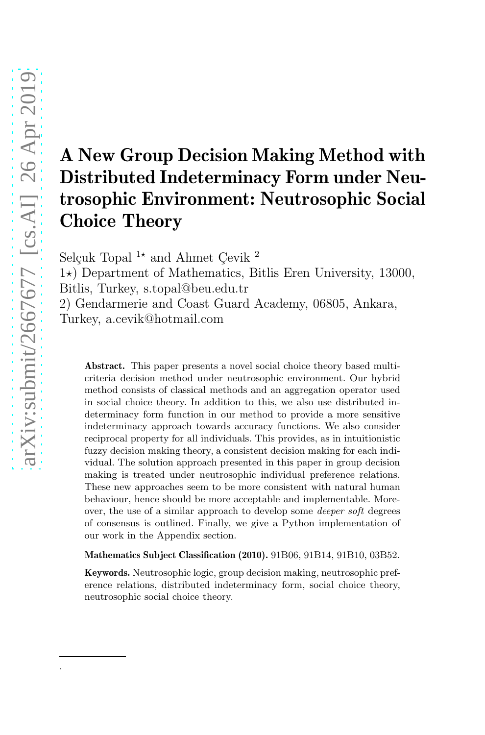.

# A New Group Decision Making Method with Distributed Indeterminacy Form under Neutrosophic Environment: Neutrosophic Social Choice Theory

Selçuk Topal  $1\star$  and Ahmet Cevik <sup>2</sup>

 $1\star$ ) Department of Mathematics, Bitlis Eren University, 13000, Bitlis, Turkey, s.topal@beu.edu.tr

2) Gendarmerie and Coast Guard Academy, 06805, Ankara, Turkey, a.cevik@hotmail.com

Abstract. This paper presents a novel social choice theory based multicriteria decision method under neutrosophic environment. Our hybrid method consists of classical methods and an aggregation operator used in social choice theory. In addition to this, we also use distributed indeterminacy form function in our method to provide a more sensitive indeterminacy approach towards accuracy functions. We also consider reciprocal property for all individuals. This provides, as in intuitionistic fuzzy decision making theory, a consistent decision making for each individual. The solution approach presented in this paper in group decision making is treated under neutrosophic individual preference relations. These new approaches seem to be more consistent with natural human behaviour, hence should be more acceptable and implementable. Moreover, the use of a similar approach to develop some deeper soft degrees of consensus is outlined. Finally, we give a Python implementation of our work in the Appendix section.

Mathematics Subject Classification (2010). 91B06, 91B14, 91B10, 03B52.

Keywords. Neutrosophic logic, group decision making, neutrosophic preference relations, distributed indeterminacy form, social choice theory, neutrosophic social choice theory.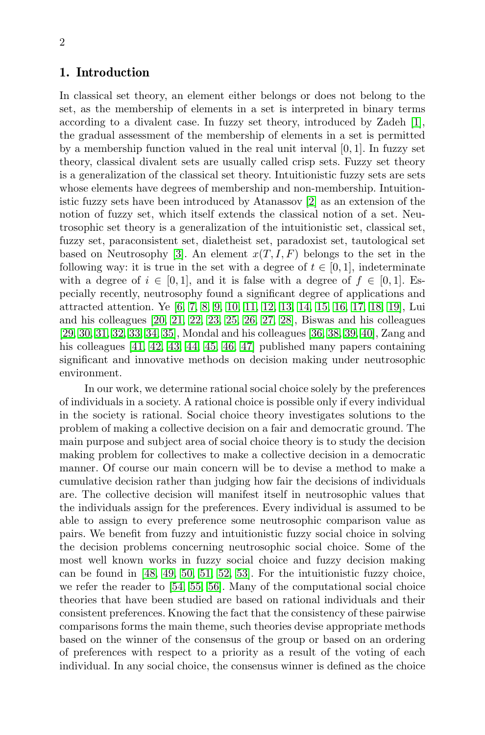## 1. Introduction

In classical set theory, an element either belongs or does not belong to the set, as the membership of elements in a set is interpreted in binary terms according to a divalent case. In fuzzy set theory, introduced by Zadeh [\[1\]](#page-12-0), the gradual assessment of the membership of elements in a set is permitted by a membership function valued in the real unit interval [0, 1]. In fuzzy set theory, classical divalent sets are usually called crisp sets. Fuzzy set theory is a generalization of the classical set theory. Intuitionistic fuzzy sets are sets whose elements have degrees of membership and non-membership. Intuitionistic fuzzy sets have been introduced by Atanassov [\[2\]](#page-12-1) as an extension of the notion of fuzzy set, which itself extends the classical notion of a set. Neutrosophic set theory is a generalization of the intuitionistic set, classical set, fuzzy set, paraconsistent set, dialetheist set, paradoxist set, tautological set based on Neutrosophy [\[3\]](#page-12-2). An element  $x(T, I, F)$  belongs to the set in the following way: it is true in the set with a degree of  $t \in [0, 1]$ , indeterminate with a degree of  $i \in [0,1]$ , and it is false with a degree of  $f \in [0,1]$ . Especially recently, neutrosophy found a significant degree of applications and attracted attention. Ye [\[6,](#page-12-3) [7,](#page-12-4) [8,](#page-12-5) [9,](#page-13-0) [10,](#page-13-1) [11,](#page-13-2) [12,](#page-13-3) [13,](#page-13-4) [14,](#page-13-5) [15,](#page-13-6) [16,](#page-13-7) [17,](#page-13-8) [18,](#page-13-9) [19\]](#page-13-10), Lui and his colleagues [\[20,](#page-13-11) [21,](#page-13-12) [22,](#page-13-13) [23,](#page-13-14) [25,](#page-14-0) [26,](#page-14-1) [27,](#page-14-2) [28\]](#page-14-3), Biswas and his colleagues [\[29,](#page-14-4) [30,](#page-14-5) [31,](#page-14-6) [32,](#page-14-7) [33,](#page-14-8) [34,](#page-14-9) [35\]](#page-14-10), Mondal and his colleagues [\[36,](#page-14-11) [38,](#page-14-12) [39,](#page-14-13) [40\]](#page-15-0), Zang and his colleagues [\[41,](#page-15-1) [42,](#page-15-2) [43,](#page-15-3) [44,](#page-15-4) [45,](#page-15-5) [46,](#page-15-6) [47\]](#page-15-7) published many papers containing significant and innovative methods on decision making under neutrosophic environment.

In our work, we determine rational social choice solely by the preferences of individuals in a society. A rational choice is possible only if every individual in the society is rational. Social choice theory investigates solutions to the problem of making a collective decision on a fair and democratic ground. The main purpose and subject area of social choice theory is to study the decision making problem for collectives to make a collective decision in a democratic manner. Of course our main concern will be to devise a method to make a cumulative decision rather than judging how fair the decisions of individuals are. The collective decision will manifest itself in neutrosophic values that the individuals assign for the preferences. Every individual is assumed to be able to assign to every preference some neutrosophic comparison value as pairs. We benefit from fuzzy and intuitionistic fuzzy social choice in solving the decision problems concerning neutrosophic social choice. Some of the most well known works in fuzzy social choice and fuzzy decision making can be found in [\[48,](#page-15-8) [49,](#page-15-9) [50,](#page-15-10) [51,](#page-15-11) [52,](#page-15-12) [53\]](#page-15-13). For the intuitionistic fuzzy choice, we refer the reader to [\[54,](#page-15-14) [55,](#page-15-15) [56\]](#page-15-16). Many of the computational social choice theories that have been studied are based on rational individuals and their consistent preferences. Knowing the fact that the consistency of these pairwise comparisons forms the main theme, such theories devise appropriate methods based on the winner of the consensus of the group or based on an ordering of preferences with respect to a priority as a result of the voting of each individual. In any social choice, the consensus winner is defined as the choice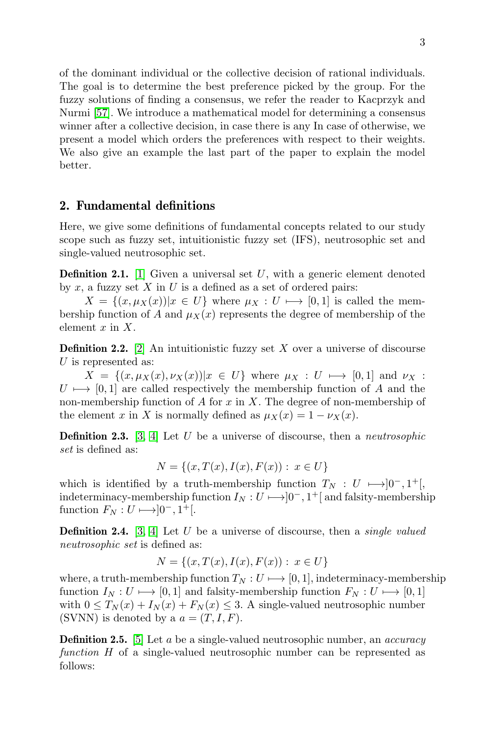of the dominant individual or the collective decision of rational individuals. The goal is to determine the best preference picked by the group. For the fuzzy solutions of finding a consensus, we refer the reader to Kacprzyk and Nurmi [\[57\]](#page-15-17). We introduce a mathematical model for determining a consensus winner after a collective decision, in case there is any In case of otherwise, we present a model which orders the preferences with respect to their weights. We also give an example the last part of the paper to explain the model better.

#### 2. Fundamental definitions

Here, we give some definitions of fundamental concepts related to our study scope such as fuzzy set, intuitionistic fuzzy set (IFS), neutrosophic set and single-valued neutrosophic set.

**Definition 2.1.** [\[1\]](#page-12-0) Given a universal set  $U$ , with a generic element denoted by x, a fuzzy set  $X$  in  $U$  is a defined as a set of ordered pairs:

 $X = \{(x, \mu_X(x)) | x \in U\}$  where  $\mu_X : U \mapsto [0, 1]$  is called the membership function of A and  $\mu_X(x)$  represents the degree of membership of the element  $x$  in  $X$ .

**Definition 2.2.** [\[2\]](#page-12-1) An intuitionistic fuzzy set X over a universe of discourse U is represented as:

 $X = \{(x, \mu_X(x), \nu_X(x)) | x \in U\}$  where  $\mu_X : U \mapsto [0, 1]$  and  $\nu_X :$  $U \mapsto [0, 1]$  are called respectively the membership function of A and the non-membership function of  $A$  for  $x$  in  $X$ . The degree of non-membership of the element x in X is normally defined as  $\mu_X(x) = 1 - \nu_X(x)$ .

Definition 2.3. [\[3,](#page-12-2) [4\]](#page-12-6) Let U be a universe of discourse, then a *neutrosophic set* is defined as:

$$
N = \{(x, T(x), I(x), F(x)) : x \in U\}
$$

which is identified by a truth-membership function  $T_N : U \longmapsto ]0^-, 1^+]$ , indeterminacy-membership function  $I_N: U \longmapsto ]0^-, 1^+[$  and falsity-membership function  $F_N: U \longrightarrow ]0^-, 1^+[$ .

Definition 2.4. [\[3,](#page-12-2) [4\]](#page-12-6) Let U be a universe of discourse, then a *single valued neutrosophic set* is defined as:

$$
N = \{(x, T(x), I(x), F(x)) : x \in U\}
$$

where, a truth-membership function  $T_N : U \longrightarrow [0, 1]$ , indeterminacy-membership function  $I_N : U \longrightarrow [0, 1]$  and falsity-membership function  $F_N : U \longrightarrow [0, 1]$ with  $0 \leq T_N(x) + I_N(x) + F_N(x) \leq 3$ . A single-valued neutrosophic number (SVNN) is denoted by a  $a = (T, I, F)$ .

Definition 2.5. [\[5\]](#page-12-7) Let a be a single-valued neutrosophic number, an *accuracy function* H of a single-valued neutrosophic number can be represented as follows: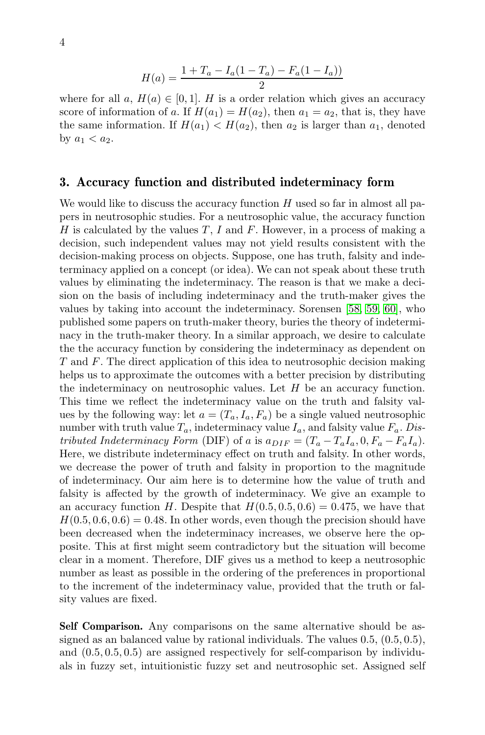$$
H(a) = \frac{1 + T_a - I_a(1 - T_a) - F_a(1 - I_a))}{2}
$$

where for all a,  $H(a) \in [0,1]$ . H is a order relation which gives an accuracy score of information of a. If  $H(a_1) = H(a_2)$ , then  $a_1 = a_2$ , that is, they have the same information. If  $H(a_1) < H(a_2)$ , then  $a_2$  is larger than  $a_1$ , denoted by  $a_1 < a_2$ .

#### 3. Accuracy function and distributed indeterminacy form

We would like to discuss the accuracy function  $H$  used so far in almost all papers in neutrosophic studies. For a neutrosophic value, the accuracy function H is calculated by the values  $T$ , I and F. However, in a process of making a decision, such independent values may not yield results consistent with the decision-making process on objects. Suppose, one has truth, falsity and indeterminacy applied on a concept (or idea). We can not speak about these truth values by eliminating the indeterminacy. The reason is that we make a decision on the basis of including indeterminacy and the truth-maker gives the values by taking into account the indeterminacy. Sorensen [\[58,](#page-16-0) [59,](#page-16-1) [60\]](#page-16-2), who published some papers on truth-maker theory, buries the theory of indeterminacy in the truth-maker theory. In a similar approach, we desire to calculate the the accuracy function by considering the indeterminacy as dependent on T and F. The direct application of this idea to neutrosophic decision making helps us to approximate the outcomes with a better precision by distributing the indeterminacy on neutrosophic values. Let  $H$  be an accuracy function. This time we reflect the indeterminacy value on the truth and falsity values by the following way: let  $a = (T_a, I_a, F_a)$  be a single valued neutrosophic number with truth value  $T_a$ , indeterminacy value  $I_a$ , and falsity value  $F_a$ . *Distributed Indeterminacy Form* (DIF) of a is  $a_{DIF} = (T_a - T_a I_a, 0, F_a - F_a I_a)$ . Here, we distribute indeterminacy effect on truth and falsity. In other words, we decrease the power of truth and falsity in proportion to the magnitude of indeterminacy. Our aim here is to determine how the value of truth and falsity is affected by the growth of indeterminacy. We give an example to an accuracy function H. Despite that  $H(0.5, 0.5, 0.6) = 0.475$ , we have that  $H(0.5, 0.6, 0.6) = 0.48$ . In other words, even though the precision should have been decreased when the indeterminacy increases, we observe here the opposite. This at first might seem contradictory but the situation will become clear in a moment. Therefore, DIF gives us a method to keep a neutrosophic number as least as possible in the ordering of the preferences in proportional to the increment of the indeterminacy value, provided that the truth or falsity values are fixed.

Self Comparison. Any comparisons on the same alternative should be assigned as an balanced value by rational individuals. The values 0.5, (0.5, 0.5), and (0.5, 0.5, 0.5) are assigned respectively for self-comparison by individuals in fuzzy set, intuitionistic fuzzy set and neutrosophic set. Assigned self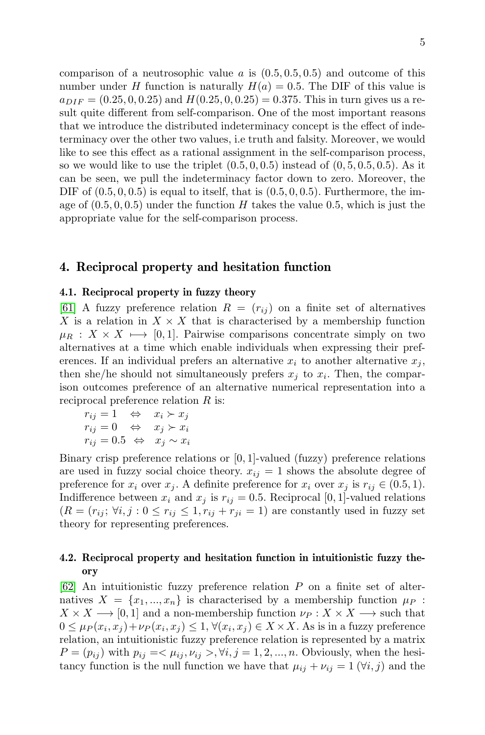comparison of a neutrosophic value a is  $(0.5, 0.5, 0.5)$  and outcome of this number under H function is naturally  $H(a) = 0.5$ . The DIF of this value is  $a_{DIF} = (0.25, 0, 0.25)$  and  $H(0.25, 0, 0.25) = 0.375$ . This in turn gives us a result quite different from self-comparison. One of the most important reasons that we introduce the distributed indeterminacy concept is the effect of indeterminacy over the other two values, i.e truth and falsity. Moreover, we would like to see this effect as a rational assignment in the self-comparison process, so we would like to use the triplet  $(0.5, 0.0, 0.5)$  instead of  $(0, 5, 0.5, 0.5)$ . As it can be seen, we pull the indeterminacy factor down to zero. Moreover, the DIF of  $(0.5, 0, 0.5)$  is equal to itself, that is  $(0.5, 0, 0.5)$ . Furthermore, the image of  $(0.5, 0, 0.5)$  under the function H takes the value 0.5, which is just the appropriate value for the self-comparison process.

#### 4. Reciprocal property and hesitation function

#### 4.1. Reciprocal property in fuzzy theory

[\[61\]](#page-16-3) A fuzzy preference relation  $R = (r_{ij})$  on a finite set of alternatives X is a relation in  $X \times X$  that is characterised by a membership function  $\mu_R : X \times X \longmapsto [0, 1]$ . Pairwise comparisons concentrate simply on two alternatives at a time which enable individuals when expressing their preferences. If an individual prefers an alternative  $x_i$  to another alternative  $x_j$ , then she/he should not simultaneously prefers  $x_j$  to  $x_i$ . Then, the comparison outcomes preference of an alternative numerical representation into a reciprocal preference relation R is:

$$
r_{ij} = 1 \Leftrightarrow x_i \succ x_j
$$
  
\n
$$
r_{ij} = 0 \Leftrightarrow x_j \succ x_i
$$
  
\n
$$
r_{ij} = 0.5 \Leftrightarrow x_j \sim x_i
$$

Binary crisp preference relations or [0, 1]-valued (fuzzy) preference relations are used in fuzzy social choice theory.  $x_{ij} = 1$  shows the absolute degree of preference for  $x_i$  over  $x_j$ . A definite preference for  $x_i$  over  $x_j$  is  $r_{ij} \in (0.5, 1)$ . Indifference between  $x_i$  and  $x_j$  is  $r_{ij} = 0.5$ . Reciprocal [0, 1]-valued relations  $(R = (r_{ij}; \forall i, j : 0 \leq r_{ij} \leq 1, r_{ij} + r_{ji} = 1)$  are constantly used in fuzzy set theory for representing preferences.

#### 4.2. Reciprocal property and hesitation function in intuitionistic fuzzy theory

[\[62\]](#page-16-4) An intuitionistic fuzzy preference relation P on a finite set of alternatives  $X = \{x_1, ..., x_n\}$  is characterised by a membership function  $\mu_P$ :  $X \times X \longrightarrow [0, 1]$  and a non-membership function  $\nu_P : X \times X \longrightarrow$  such that  $0 \le \mu_P(x_i, x_j) + \nu_P(x_i, x_j) \le 1, \forall (x_i, x_j) \in X \times X$ . As is in a fuzzy preference relation, an intuitionistic fuzzy preference relation is represented by a matrix  $P = (p_{ij})$  with  $p_{ij} = \langle \mu_{ij}, \nu_{ij} \rangle, \forall i, j = 1, 2, ..., n$ . Obviously, when the hesitancy function is the null function we have that  $\mu_{ij} + \nu_{ij} = 1 \ (\forall i, j)$  and the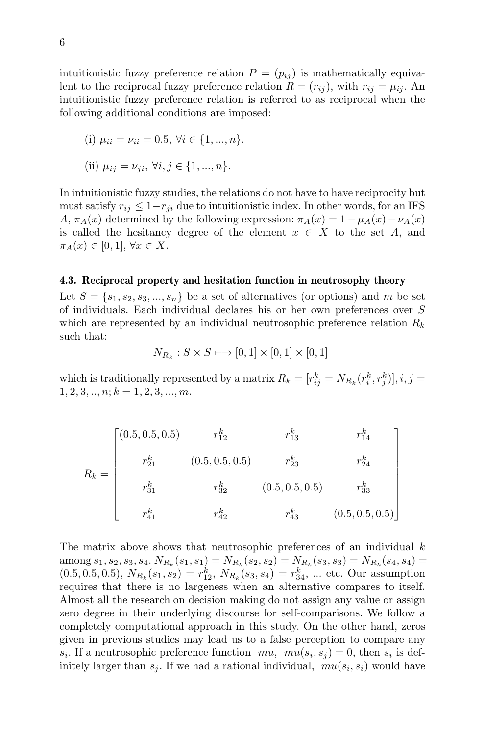intuitionistic fuzzy preference relation  $P = (p_{ij})$  is mathematically equivalent to the reciprocal fuzzy preference relation  $R = (r_{ij})$ , with  $r_{ij} = \mu_{ij}$ . An intuitionistic fuzzy preference relation is referred to as reciprocal when the following additional conditions are imposed:

(i) 
$$
\mu_{ii} = \nu_{ii} = 0.5, \forall i \in \{1, ..., n\}.
$$

(ii) 
$$
\mu_{ij} = \nu_{ji}, \forall i, j \in \{1, ..., n\}.
$$

In intuitionistic fuzzy studies, the relations do not have to have reciprocity but must satisfy  $r_{ij} \leq 1-r_{ji}$  due to intuitionistic index. In other words, for an IFS A,  $\pi_A(x)$  determined by the following expression:  $\pi_A(x) = 1 - \mu_A(x) - \nu_A(x)$ is called the hesitancy degree of the element  $x \in X$  to the set A, and  $\pi_A(x) \in [0,1], \forall x \in X.$ 

#### 4.3. Reciprocal property and hesitation function in neutrosophy theory

Let  $S = \{s_1, s_2, s_3, ..., s_n\}$  be a set of alternatives (or options) and m be set of individuals. Each individual declares his or her own preferences over S which are represented by an individual neutrosophic preference relation  $R_k$ such that:

$$
N_{R_k}: S \times S \longrightarrow [0,1] \times [0,1] \times [0,1]
$$

which is traditionally represented by a matrix  $R_k = [r_{ij}^k = N_{R_k}(r_i^k, r_j^k)], i, j =$  $1, 2, 3, \ldots, n; k = 1, 2, 3, \ldots, m.$ 

$$
R_{k} = \begin{bmatrix}\n(0.5, 0.5, 0.5) & r_{12}^{k} & r_{13}^{k} & r_{14}^{k} \\
r_{21}^{k} & (0.5, 0.5, 0.5) & r_{23}^{k} & r_{24}^{k} \\
r_{31}^{k} & r_{32}^{k} & (0.5, 0.5, 0.5) & r_{33}^{k} \\
r_{41}^{k} & r_{42}^{k} & r_{43}^{k} & (0.5, 0.5, 0.5)\n\end{bmatrix}
$$

The matrix above shows that neutrosophic preferences of an individual  $k$ among  $s_1, s_2, s_3, s_4$ .  $N_{R_k}(s_1, s_1) = N_{R_k}(s_2, s_2) = N_{R_k}(s_3, s_3) = N_{R_k}(s_4, s_4) =$  $(0.5, 0.5, 0.5), N_{R_k}(s_1, s_2) = r_{12}^k, N_{R_k}(s_3, s_4) = r_{34}^k, \dots$  etc. Our assumption requires that there is no largeness when an alternative compares to itself. Almost all the research on decision making do not assign any value or assign zero degree in their underlying discourse for self-comparisons. We follow a completely computational approach in this study. On the other hand, zeros given in previous studies may lead us to a false perception to compare any  $s_i$ . If a neutrosophic preference function  $mu, mu(s_i, s_j) = 0$ , then  $s_i$  is definitely larger than  $s_j$ . If we had a rational individual,  $mu(s_i, s_i)$  would have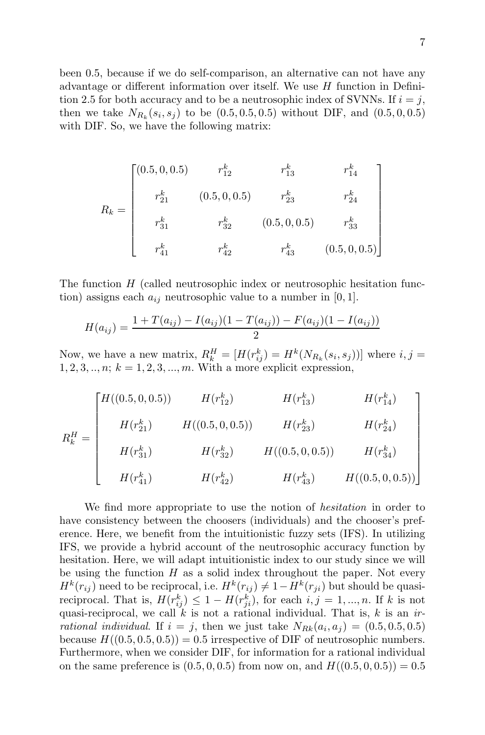been 0.5, because if we do self-comparison, an alternative can not have any advantage or different information over itself. We use  $H$  function in Definition 2.5 for both accuracy and to be a neutrosophic index of SVNNs. If  $i = j$ , then we take  $N_{R_k}(s_i, s_j)$  to be  $(0.5, 0.5, 0.5)$  without DIF, and  $(0.5, 0, 0.5)$ with DIF. So, we have the following matrix:

$$
R_k = \begin{bmatrix} (0.5, 0, 0.5) & r_{12}^k & r_{13}^k & r_{14}^k \\ r_{21}^k & (0.5, 0, 0.5) & r_{23}^k & r_{24}^k \\ r_{31}^k & r_{32}^k & (0.5, 0, 0.5) & r_{33}^k \\ r_{41}^k & r_{42}^k & r_{43}^k & (0.5, 0, 0.5) \end{bmatrix}
$$

The function  $H$  (called neutrosophic index or neutrosophic hesitation function) assigns each  $a_{ij}$  neutrosophic value to a number in [0, 1].

$$
H(a_{ij}) = \frac{1 + T(a_{ij}) - I(a_{ij})(1 - T(a_{ij})) - F(a_{ij})(1 - I(a_{ij}))}{2}
$$

Now, we have a new matrix,  $R_k^H = [H(r_{ij}^k) = H^k(N_{R_k}(s_i, s_j))]$  where  $i, j =$  $1, 2, 3, \ldots, n; k = 1, 2, 3, \ldots, m$ . With a more explicit expression,

$$
R_k^H = \begin{bmatrix} H((0.5, 0, 0.5)) & H(r_{12}^k) & H(r_{13}^k) & H(r_{14}^k) \\ H(r_{21}^k) & H((0.5, 0, 0.5)) & H(r_{23}^k) & H(r_{24}^k) \\ H(r_{31}^k) & H(r_{32}^k) & H((0.5, 0, 0.5)) & H(r_{34}^k) \\ H(r_{41}^k) & H(r_{42}^k) & H(r_{43}^k) & H((0.5, 0, 0.5)) \end{bmatrix}
$$

We find more appropriate to use the notion of *hesitation* in order to have consistency between the choosers (individuals) and the chooser's preference. Here, we benefit from the intuitionistic fuzzy sets (IFS). In utilizing IFS, we provide a hybrid account of the neutrosophic accuracy function by hesitation. Here, we will adapt intuitionistic index to our study since we will be using the function  $H$  as a solid index throughout the paper. Not every  $H^k(r_{ij})$  need to be reciprocal, i.e.  $H^k(r_{ij}) \neq 1 - H^k(r_{ji})$  but should be quasireciprocal. That is,  $H(r_{ij}^k) \leq 1 - H(r_{ji}^k)$ , for each  $i, j = 1, ..., n$ . If k is not quasi-reciprocal, we call  $\vec{k}$  is not a rational individual. That is,  $k$  is an *irrational individual.* If  $i = j$ , then we just take  $N_{Rk}(a_i, a_j) = (0.5, 0.5, 0.5)$ because  $H((0.5, 0.5, 0.5)) = 0.5$  irrespective of DIF of neutrosophic numbers. Furthermore, when we consider DIF, for information for a rational individual on the same preference is  $(0.5, 0, 0.5)$  from now on, and  $H((0.5, 0, 0.5)) = 0.5$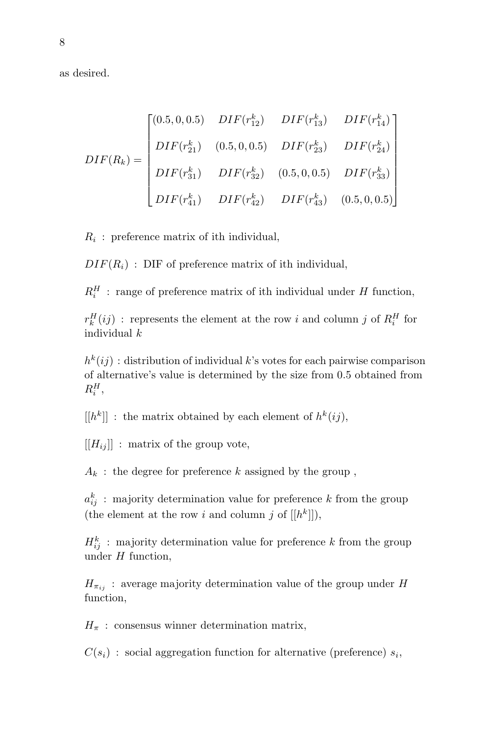as desired.

$$
DIF(R_k) = \begin{bmatrix} (0.5, 0, 0.5) & DIF(r_{12}^k) & DIF(r_{13}^k) & DIF(r_{14}^k) \\ 0.5, 0, 0.5) & DIF(r_{23}^k) & DIF(r_{24}^k) \\ 0.5, 0, 0.5) & DIF(r_{32}^k) & DIF(r_{33}^k) \\ 0.5, 0, 0.5) & DIF(r_{33}^k) \\ 0.5, 0, 0.5) & DIF(r_{43}^k) & DIF(r_{43}^k) & (0.5, 0, 0.5) \end{bmatrix}
$$

 $R_i$ : preference matrix of ith individual,

 $DIF(R_i)$ : DIF of preference matrix of ith individual,

 $R_i^H$ : range of preference matrix of ith individual under H function,

 $r_k^H(ij)$ : represents the element at the row i and column j of  $R_i^H$  for individual k

 $h^k(i)$ : distribution of individual k's votes for each pairwise comparison of alternative's value is determined by the size from 0.5 obtained from  $R_i^H$ ,

 $[[h^k]]$ : the matrix obtained by each element of  $h^k(ij)$ ,

 $[[H_{ii}]$ : matrix of the group vote,

 $A_k$ : the degree for preference k assigned by the group,

 $a_{ij}^k$ : majority determination value for preference k from the group (the element at the row i and column j of  $[[h^k]]$ ),

 $H_{ij}^k$ : majority determination value for preference k from the group under  $H$  function,

 $H_{\pi_{ij}}$ : average majority determination value of the group under H function,

 $H_{\pi}$ : consensus winner determination matrix,

 $C(s_i)$ : social aggregation function for alternative (preference)  $s_i$ ,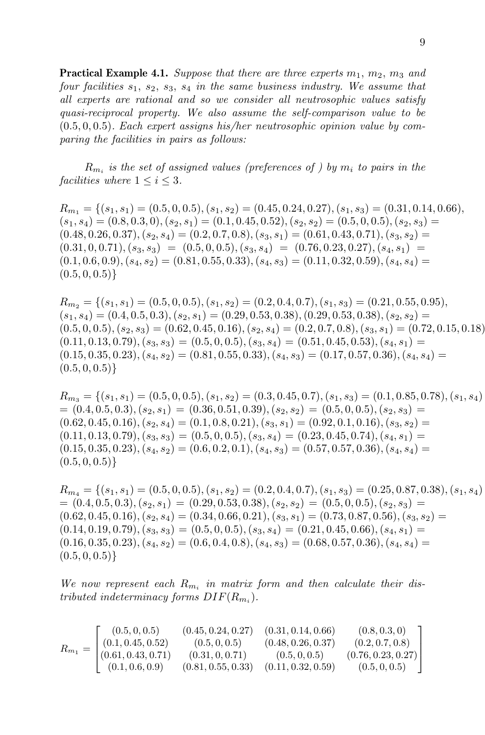**Practical Example 4.1.** Suppose that there are three experts  $m_1$ ,  $m_2$ ,  $m_3$  and *four facilities*  $s_1$ ,  $s_2$ ,  $s_3$ ,  $s_4$  *in the same business industry. We assume that all experts are rational and so we consider all neutrosophic values satisfy quasi-reciprocal property. We also assume the self-comparison value to be* (0.5, 0, 0.5)*. Each expert assigns his/her neutrosophic opinion value by comparing the facilities in pairs as follows:*

 $R_{m_i}$  *is the set of assigned values (preferences of ) by*  $m_i$  *to pairs in the facilities where*  $1 \leq i \leq 3$ *.* 

 $R_{m_1} = \{(s_1, s_1) = (0.5, 0, 0.5), (s_1, s_2) = (0.45, 0.24, 0.27), (s_1, s_3) = (0.31, 0.14, 0.66),\}$  $(s_1, s_4) = (0.8, 0.3, 0), (s_2, s_1) = (0.1, 0.45, 0.52), (s_2, s_2) = (0.5, 0, 0.5), (s_2, s_3) =$  $(0.48, 0.26, 0.37), (s_2, s_4) = (0.2, 0.7, 0.8), (s_3, s_1) = (0.61, 0.43, 0.71), (s_3, s_2) =$  $(0.31, 0, 0.71), (s_3, s_3) = (0.5, 0, 0.5), (s_3, s_4) = (0.76, 0.23, 0.27), (s_4, s_1) =$  $(0.1, 0.6, 0.9), (s_4, s_2) = (0.81, 0.55, 0.33), (s_4, s_3) = (0.11, 0.32, 0.59), (s_4, s_4) =$  $(0.5, 0, 0.5)\}$ 

 $R_{m_2} = \{(s_1, s_1) = (0.5, 0, 0.5), (s_1, s_2) = (0.2, 0.4, 0.7), (s_1, s_3) = (0.21, 0.55, 0.95),$  $(s_1, s_4) = (0.4, 0.5, 0.3), (s_2, s_1) = (0.29, 0.53, 0.38), (0.29, 0.53, 0.38), (s_2, s_2) =$  $(0.5, 0, 0.5), (s_2, s_3) = (0.62, 0.45, 0.16), (s_2, s_4) = (0.2, 0.7, 0.8), (s_3, s_1) = (0.72, 0.15, 0.18)$  $(0.11, 0.13, 0.79), (s_3, s_3) = (0.5, 0, 0.5), (s_3, s_4) = (0.51, 0.45, 0.53), (s_4, s_1) =$  $(0.15, 0.35, 0.23), (s_4, s_2) = (0.81, 0.55, 0.33), (s_4, s_3) = (0.17, 0.57, 0.36), (s_4, s_4) =$  $(0.5, 0, 0.5)$ 

 $R_{m_3} = \{(s_1, s_1) = (0.5, 0, 0.5), (s_1, s_2) = (0.3, 0.45, 0.7), (s_1, s_3) = (0.1, 0.85, 0.78), (s_1, s_4)$  $=(0.4, 0.5, 0.3), (s_2, s_1) = (0.36, 0.51, 0.39), (s_2, s_2) = (0.5, 0, 0.5), (s_2, s_3) =$  $(0.62, 0.45, 0.16), (s_2, s_4) = (0.1, 0.8, 0.21), (s_3, s_1) = (0.92, 0.1, 0.16), (s_3, s_2) =$  $(0.11, 0.13, 0.79), (s_3, s_3) = (0.5, 0, 0.5), (s_3, s_4) = (0.23, 0.45, 0.74), (s_4, s_1) =$  $(0.15, 0.35, 0.23), (s_4, s_2) = (0.6, 0.2, 0.1), (s_4, s_3) = (0.57, 0.57, 0.36), (s_4, s_4) =$  $(0.5, 0, 0.5)\}$ 

 $R_{m_4} = \{(s_1, s_1) = (0.5, 0, 0.5), (s_1, s_2) = (0.2, 0.4, 0.7), (s_1, s_3) = (0.25, 0.87, 0.38), (s_1, s_4)$  $=(0.4, 0.5, 0.3), (s_2, s_1) = (0.29, 0.53, 0.38), (s_2, s_2) = (0.5, 0, 0.5), (s_2, s_3) =$  $(0.62, 0.45, 0.16), (s_2, s_4) = (0.34, 0.66, 0.21), (s_3, s_1) = (0.73, 0.87, 0.56), (s_3, s_2) =$  $(0.14, 0.19, 0.79), (s_3, s_3) = (0.5, 0, 0.5), (s_3, s_4) = (0.21, 0.45, 0.66), (s_4, s_1) =$  $(0.16, 0.35, 0.23), (s_4, s_2) = (0.6, 0.4, 0.8), (s_4, s_3) = (0.68, 0.57, 0.36), (s_4, s_4) =$  $(0.5, 0, 0.5)$ 

We now represent each  $R_{m_i}$  in matrix form and then calculate their dis*tributed indeterminacy forms*  $DIF(R_{m_i})$ .

$$
R_{m_1} = \begin{bmatrix} (0.5, 0, 0.5) & (0.45, 0.24, 0.27) & (0.31, 0.14, 0.66) & (0.8, 0.3, 0) \\ (0.1, 0.45, 0.52) & (0.5, 0, 0.5) & (0.48, 0.26, 0.37) & (0.2, 0.7, 0.8) \\ (0.61, 0.43, 0.71) & (0.31, 0, 0.71) & (0.5, 0, 0.5) & (0.76, 0.23, 0.27) \\ (0.1, 0.6, 0.9) & (0.81, 0.55, 0.33) & (0.11, 0.32, 0.59) & (0.5, 0, 0.5) \end{bmatrix}
$$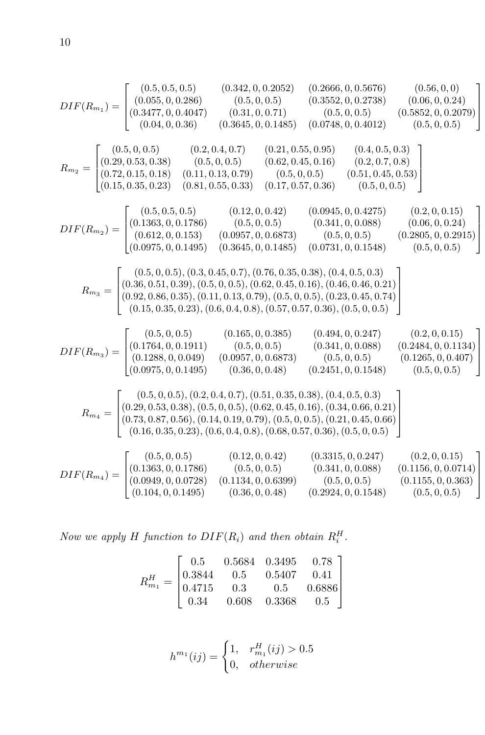$$
DIF(R_{m_1}) = \begin{bmatrix} (0.5, 0.5, 0.0266, 0, 0.2666, 0, 0.5676) & (0.56, 0.0, 0.5676) & (0.56, 0.0, 0.244) \\ (0.365, 0.0.2666) & (0.56, 0.0.2738) & (0.06, 0.0.24) \\ (0.2, 0.5, 0.0.2676) & (0.5, 0.0.2738) & (0.06, 0.0.2738) \\ (0.2, 0.5, 0.2, 0.2676) & (0.5, 0.0.2738) & (0.5, 0.0.2738) \\ (0.2, 0.5, 0.3, 0.8) & (0.5, 0.0, 0.5) & (0.5, 0.0, 0.5) & (0.5, 0.0, 0.5) \\ (0.5, 0.5, 0.5, 0.38) & (0.5, 0.0, 0.5) & (0.5, 0.0, 0.5) & (0.5, 0.0, 0.5) \\ (0.15, 0.35, 0.23) & (0.5, 0.0, 0.5) & (0.5, 0.0, 0.5) & (0.5, 0.0, 0.5) \\ (0.15, 0.35, 0.23) & (0.5, 0.0, 0.5) & (0.5, 0.0, 0.5) & (0.5, 0.0, 0.5) \\ (0.5, 0.5, 0.23) & (0.5, 0.0, 0.5) & (0.5, 0.0, 0.5) & (0.5, 0.0, 0.24) \\ (0.612, 0, 0.153) & (0.0957, 0, 0.6873) & (0.5, 0.0, 0.5) & (0.2805, 0, 0.2915) \\ (0.0975, 0, 0.1495) & (0.3645, 0, 0.1485) & (0.0731, 0, 0.1548) & (0.5, 0, 0.5) \\ (0.5, 0, 0.5), (0.5
$$

*Now we apply*  $H$  *function to*  $DIF(R_i)$  *and then obtain*  $R_i^H$ .

$$
R_{m_1}^H = \begin{bmatrix} 0.5 & 0.5684 & 0.3495 & 0.78 \\ 0.3844 & 0.5 & 0.5407 & 0.41 \\ 0.4715 & 0.3 & 0.5 & 0.6886 \\ 0.34 & 0.608 & 0.3368 & 0.5 \end{bmatrix}
$$

$$
h^{m_1}(ij) = \begin{cases} 1, & r_{m_1}^H(ij) > 0.5 \\ 0, & otherwise \end{cases}
$$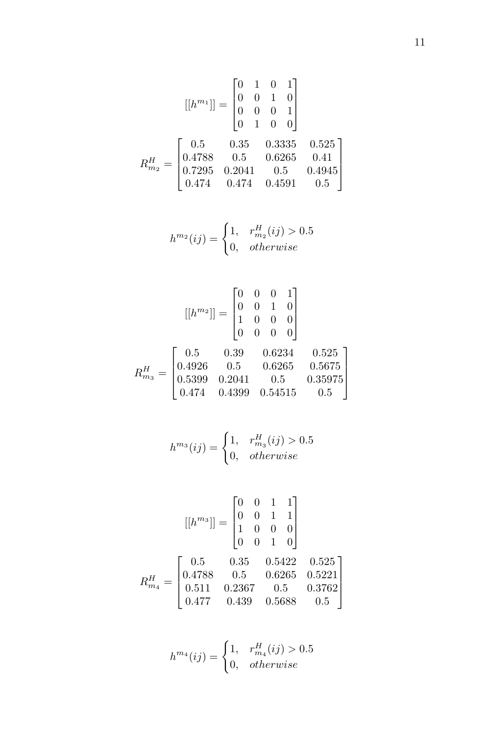$$
[[h^{m_1}]] = \begin{bmatrix} 0 & 1 & 0 & 1 \\ 0 & 0 & 1 & 0 \\ 0 & 0 & 0 & 1 \\ 0 & 1 & 0 & 0 \end{bmatrix}
$$

$$
R_{m_2}^H = \begin{bmatrix} 0.5 & 0.35 & 0.3335 & 0.525 \\ 0.4788 & 0.5 & 0.6265 & 0.41 \\ 0.7295 & 0.2041 & 0.5 & 0.4945 \\ 0.474 & 0.474 & 0.4591 & 0.5 \end{bmatrix}
$$

$$
h^{m_2}(ij) = \begin{cases} 1, & r_{m_2}^H(ij) > 0.5 \\ 0, & otherwise \end{cases}
$$

$$
\begin{bmatrix} [h^{m_2}] \end{bmatrix} = \begin{bmatrix} 0 & 0 & 0 & 1 \\ 0 & 0 & 1 & 0 \\ 1 & 0 & 0 & 0 \\ 1 & 0 & 0 & 0 \end{bmatrix}
$$

$$
R_{m_3}^H = \begin{bmatrix} 0.5 & 0.39 & 0.6234 & 0.525 \\ 0.4926 & 0.5 & 0.6265 & 0.5675 \\ 0.5399 & 0.2041 & 0.5 & 0.35975 \\ 0.474 & 0.4399 & 0.54515 & 0.5 \end{bmatrix}
$$

$$
h^{m_3}(ij) = \begin{cases} 1, & r_{m_3}^H(ij) > 0.5\\ 0, & otherwise \end{cases}
$$

$$
[[h^{m_3}]] = \begin{bmatrix} 0 & 0 & 1 & 1 \\ 0 & 0 & 1 & 1 \\ 1 & 0 & 0 & 0 \\ 0 & 0 & 1 & 0 \end{bmatrix}
$$

$$
R_{m_4}^H = \begin{bmatrix} 0.5 & 0.35 & 0.5422 & 0.525 \\ 0.4788 & 0.5 & 0.6265 & 0.5221 \\ 0.511 & 0.2367 & 0.5 & 0.3762 \\ 0.477 & 0.439 & 0.5688 & 0.5 \end{bmatrix}
$$

$$
h^{m_4}(ij) = \begin{cases} 1, & r_{m_4}^H(ij) > 0.5 \\ 0, & otherwise \end{cases}
$$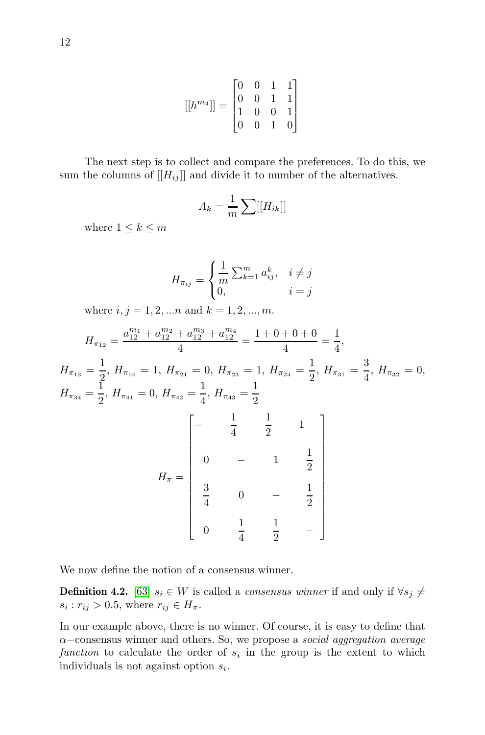$$
[[h^{m_4}]] = \begin{bmatrix} 0 & 0 & 1 & 1 \\ 0 & 0 & 1 & 1 \\ 1 & 0 & 0 & 1 \\ 0 & 0 & 1 & 0 \end{bmatrix}
$$

The next step is to collect and compare the preferences. To do this, we sum the columns of  $[[H_{ij}]]$  and divide it to number of the alternatives.

$$
A_k = \frac{1}{m} \sum [[H_{ik}]]
$$

where  $1 \leq k \leq m$ 

$$
H_{\pi_{ij}} = \begin{cases} \frac{1}{m} \sum_{k=1}^{m} a_{ij}^k, & i \neq j \\ 0, & i = j \end{cases}
$$

where  $i, j = 1, 2, \dots n$  and  $k = 1, 2, \dots, m$ .

$$
H_{\pi_{12}} = \frac{a_{12}^{m_1} + a_{12}^{m_2} + a_{12}^{m_3} + a_{12}^{m_4}}{4} = \frac{1 + 0 + 0 + 0}{4} = \frac{1}{4},
$$
  
\n
$$
H_{\pi_{13}} = \frac{1}{2}, H_{\pi_{14}} = 1, H_{\pi_{21}} = 0, H_{\pi_{23}} = 1, H_{\pi_{24}} = \frac{1}{2}, H_{\pi_{31}} = \frac{3}{4}, H_{\pi_{32}} = 0,
$$
  
\n
$$
H_{\pi_{34}} = \frac{1}{2}, H_{\pi_{41}} = 0, H_{\pi_{42}} = \frac{1}{4}, H_{\pi_{43}} = \frac{1}{2}
$$
  
\n
$$
\begin{bmatrix}\n-\frac{1}{4} & \frac{1}{2} & 1 \\
0 & -1 & \frac{1}{2} \\
\frac{3}{4} & 0 & -\frac{1}{2} \\
0 & \frac{1}{4} & \frac{1}{2} & -\n\end{bmatrix}
$$

We now define the notion of a consensus winner.

**Definition 4.2.** [\[63\]](#page-16-5)  $s_i \in W$  is called a *consensus winner* if and only if  $\forall s_j \neq$  $s_i : r_{ij} > 0.5$ , where  $r_{ij} \in H_\pi$ .

4

 $\frac{1}{2}$  –

In our example above, there is no winner. Of course, it is easy to define that α−consensus winner and others. So, we propose a *social aggregation average* function to calculate the order of  $s_i$  in the group is the extent to which individuals is not against option  $s_i$ .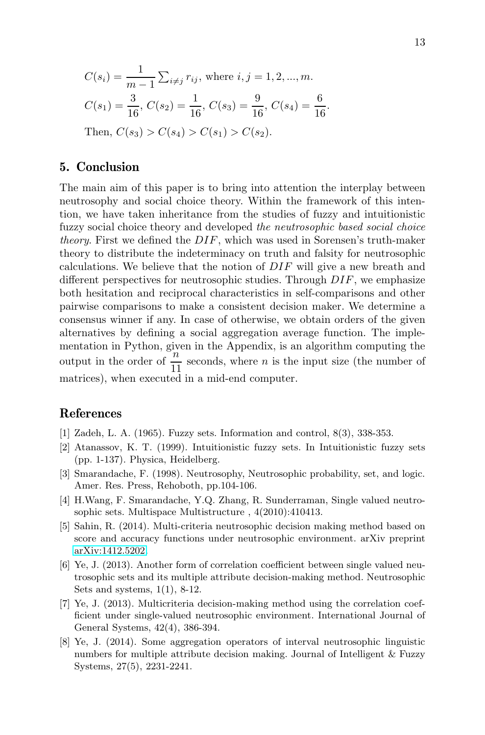$$
C(s_i) = \frac{1}{m-1} \sum_{i \neq j} r_{ij}, \text{ where } i, j = 1, 2, ..., m.
$$
  
\n
$$
C(s_1) = \frac{3}{16}, C(s_2) = \frac{1}{16}, C(s_3) = \frac{9}{16}, C(s_4) = \frac{6}{16}.
$$
  
\nThen,  $C(s_3) > C(s_4) > C(s_1) > C(s_2).$ 

## 5. Conclusion

The main aim of this paper is to bring into attention the interplay between neutrosophy and social choice theory. Within the framework of this intention, we have taken inheritance from the studies of fuzzy and intuitionistic fuzzy social choice theory and developed *the neutrosophic based social choice theory*. First we defined the DIF, which was used in Sorensen's truth-maker theory to distribute the indeterminacy on truth and falsity for neutrosophic calculations. We believe that the notion of  $DIF$  will give a new breath and different perspectives for neutrosophic studies. Through  $DIF$ , we emphasize both hesitation and reciprocal characteristics in self-comparisons and other pairwise comparisons to make a consistent decision maker. We determine a consensus winner if any. In case of otherwise, we obtain orders of the given alternatives by defining a social aggregation average function. The implementation in Python, given in the Appendix, is an algorithm computing the output in the order of  $\frac{n}{11}$  seconds, where *n* is the input size (the number of matrices), when executed in a mid-end computer.

#### <span id="page-12-0"></span>References

- <span id="page-12-1"></span>[1] Zadeh, L. A. (1965). Fuzzy sets. Information and control, 8(3), 338-353.
- [2] Atanassov, K. T. (1999). Intuitionistic fuzzy sets. In Intuitionistic fuzzy sets (pp. 1-137). Physica, Heidelberg.
- <span id="page-12-2"></span>[3] Smarandache, F. (1998). Neutrosophy, Neutrosophic probability, set, and logic. Amer. Res. Press, Rehoboth, pp.104-106.
- <span id="page-12-6"></span>[4] H.Wang, F. Smarandache, Y.Q. Zhang, R. Sunderraman, Single valued neutrosophic sets. Multispace Multistructure , 4(2010):410413.
- <span id="page-12-7"></span>[5] Sahin, R. (2014). Multi-criteria neutrosophic decision making method based on score and accuracy functions under neutrosophic environment. arXiv preprint [arXiv:1412.5202.](http://arxiv.org/abs/1412.5202)
- <span id="page-12-3"></span>[6] Ye, J. (2013). Another form of correlation coefficient between single valued neutrosophic sets and its multiple attribute decision-making method. Neutrosophic Sets and systems, 1(1), 8-12.
- <span id="page-12-4"></span>[7] Ye, J. (2013). Multicriteria decision-making method using the correlation coefficient under single-valued neutrosophic environment. International Journal of General Systems, 42(4), 386-394.
- <span id="page-12-5"></span>[8] Ye, J. (2014). Some aggregation operators of interval neutrosophic linguistic numbers for multiple attribute decision making. Journal of Intelligent & Fuzzy Systems, 27(5), 2231-2241.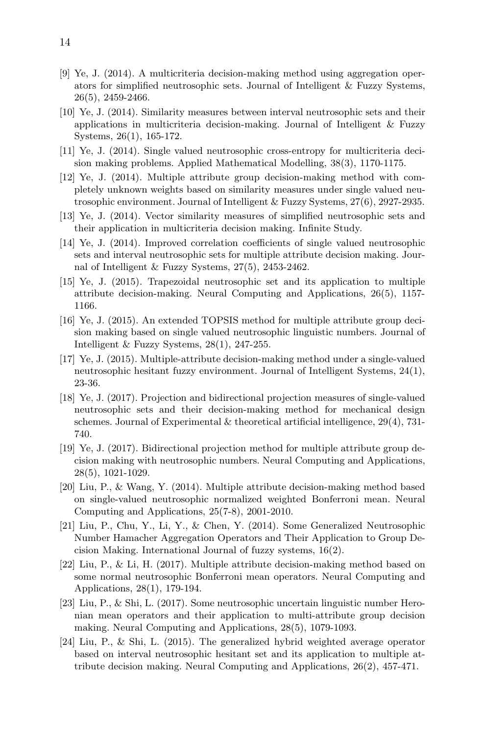- <span id="page-13-0"></span>[9] Ye, J. (2014). A multicriteria decision-making method using aggregation operators for simplified neutrosophic sets. Journal of Intelligent & Fuzzy Systems, 26(5), 2459-2466.
- <span id="page-13-1"></span>[10] Ye, J. (2014). Similarity measures between interval neutrosophic sets and their applications in multicriteria decision-making. Journal of Intelligent & Fuzzy Systems, 26(1), 165-172.
- <span id="page-13-2"></span>[11] Ye, J. (2014). Single valued neutrosophic cross-entropy for multicriteria decision making problems. Applied Mathematical Modelling, 38(3), 1170-1175.
- <span id="page-13-3"></span>[12] Ye, J. (2014). Multiple attribute group decision-making method with completely unknown weights based on similarity measures under single valued neutrosophic environment. Journal of Intelligent & Fuzzy Systems, 27(6), 2927-2935.
- <span id="page-13-4"></span>[13] Ye, J. (2014). Vector similarity measures of simplified neutrosophic sets and their application in multicriteria decision making. Infinite Study.
- <span id="page-13-5"></span>[14] Ye, J. (2014). Improved correlation coefficients of single valued neutrosophic sets and interval neutrosophic sets for multiple attribute decision making. Journal of Intelligent & Fuzzy Systems, 27(5), 2453-2462.
- <span id="page-13-6"></span>[15] Ye, J. (2015). Trapezoidal neutrosophic set and its application to multiple attribute decision-making. Neural Computing and Applications, 26(5), 1157- 1166.
- <span id="page-13-7"></span>[16] Ye, J. (2015). An extended TOPSIS method for multiple attribute group decision making based on single valued neutrosophic linguistic numbers. Journal of Intelligent & Fuzzy Systems, 28(1), 247-255.
- <span id="page-13-8"></span>[17] Ye, J. (2015). Multiple-attribute decision-making method under a single-valued neutrosophic hesitant fuzzy environment. Journal of Intelligent Systems, 24(1), 23-36.
- <span id="page-13-9"></span>[18] Ye, J. (2017). Projection and bidirectional projection measures of single-valued neutrosophic sets and their decision-making method for mechanical design schemes. Journal of Experimental  $&$  theoretical artificial intelligence, 29(4), 731-740.
- <span id="page-13-10"></span>[19] Ye, J. (2017). Bidirectional projection method for multiple attribute group decision making with neutrosophic numbers. Neural Computing and Applications, 28(5), 1021-1029.
- <span id="page-13-11"></span>[20] Liu, P., & Wang, Y. (2014). Multiple attribute decision-making method based on single-valued neutrosophic normalized weighted Bonferroni mean. Neural Computing and Applications, 25(7-8), 2001-2010.
- <span id="page-13-12"></span>[21] Liu, P., Chu, Y., Li, Y., & Chen, Y. (2014). Some Generalized Neutrosophic Number Hamacher Aggregation Operators and Their Application to Group Decision Making. International Journal of fuzzy systems, 16(2).
- <span id="page-13-13"></span>[22] Liu, P., & Li, H. (2017). Multiple attribute decision-making method based on some normal neutrosophic Bonferroni mean operators. Neural Computing and Applications, 28(1), 179-194.
- <span id="page-13-14"></span>[23] Liu, P., & Shi, L. (2017). Some neutrosophic uncertain linguistic number Heronian mean operators and their application to multi-attribute group decision making. Neural Computing and Applications, 28(5), 1079-1093.
- [24] Liu, P., & Shi, L. (2015). The generalized hybrid weighted average operator based on interval neutrosophic hesitant set and its application to multiple attribute decision making. Neural Computing and Applications, 26(2), 457-471.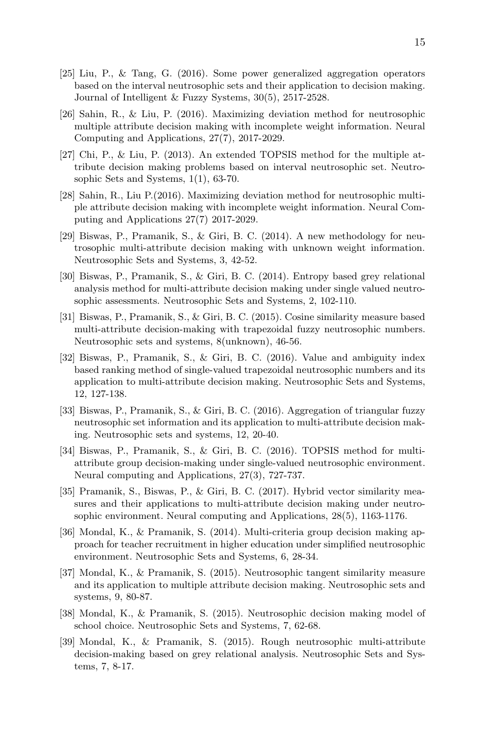- <span id="page-14-0"></span>[25] Liu, P., & Tang, G. (2016). Some power generalized aggregation operators based on the interval neutrosophic sets and their application to decision making. Journal of Intelligent & Fuzzy Systems, 30(5), 2517-2528.
- <span id="page-14-1"></span>[26] Sahin, R., & Liu, P. (2016). Maximizing deviation method for neutrosophic multiple attribute decision making with incomplete weight information. Neural Computing and Applications, 27(7), 2017-2029.
- <span id="page-14-2"></span>[27] Chi, P., & Liu, P. (2013). An extended TOPSIS method for the multiple attribute decision making problems based on interval neutrosophic set. Neutrosophic Sets and Systems, 1(1), 63-70.
- <span id="page-14-3"></span>[28] Sahin, R., Liu P.(2016). Maximizing deviation method for neutrosophic multiple attribute decision making with incomplete weight information. Neural Computing and Applications 27(7) 2017-2029.
- <span id="page-14-4"></span>[29] Biswas, P., Pramanik, S., & Giri, B. C. (2014). A new methodology for neutrosophic multi-attribute decision making with unknown weight information. Neutrosophic Sets and Systems, 3, 42-52.
- <span id="page-14-5"></span>[30] Biswas, P., Pramanik, S., & Giri, B. C. (2014). Entropy based grey relational analysis method for multi-attribute decision making under single valued neutrosophic assessments. Neutrosophic Sets and Systems, 2, 102-110.
- <span id="page-14-6"></span>[31] Biswas, P., Pramanik, S., & Giri, B. C. (2015). Cosine similarity measure based multi-attribute decision-making with trapezoidal fuzzy neutrosophic numbers. Neutrosophic sets and systems, 8(unknown), 46-56.
- <span id="page-14-7"></span>[32] Biswas, P., Pramanik, S., & Giri, B. C. (2016). Value and ambiguity index based ranking method of single-valued trapezoidal neutrosophic numbers and its application to multi-attribute decision making. Neutrosophic Sets and Systems, 12, 127-138.
- <span id="page-14-8"></span>[33] Biswas, P., Pramanik, S., & Giri, B. C. (2016). Aggregation of triangular fuzzy neutrosophic set information and its application to multi-attribute decision making. Neutrosophic sets and systems, 12, 20-40.
- <span id="page-14-9"></span>[34] Biswas, P., Pramanik, S., & Giri, B. C. (2016). TOPSIS method for multiattribute group decision-making under single-valued neutrosophic environment. Neural computing and Applications, 27(3), 727-737.
- <span id="page-14-10"></span>[35] Pramanik, S., Biswas, P., & Giri, B. C. (2017). Hybrid vector similarity measures and their applications to multi-attribute decision making under neutrosophic environment. Neural computing and Applications, 28(5), 1163-1176.
- <span id="page-14-11"></span>[36] Mondal, K., & Pramanik, S. (2014). Multi-criteria group decision making approach for teacher recruitment in higher education under simplified neutrosophic environment. Neutrosophic Sets and Systems, 6, 28-34.
- [37] Mondal, K., & Pramanik, S. (2015). Neutrosophic tangent similarity measure and its application to multiple attribute decision making. Neutrosophic sets and systems, 9, 80-87.
- <span id="page-14-12"></span>[38] Mondal, K., & Pramanik, S. (2015). Neutrosophic decision making model of school choice. Neutrosophic Sets and Systems, 7, 62-68.
- <span id="page-14-13"></span>[39] Mondal, K., & Pramanik, S. (2015). Rough neutrosophic multi-attribute decision-making based on grey relational analysis. Neutrosophic Sets and Systems, 7, 8-17.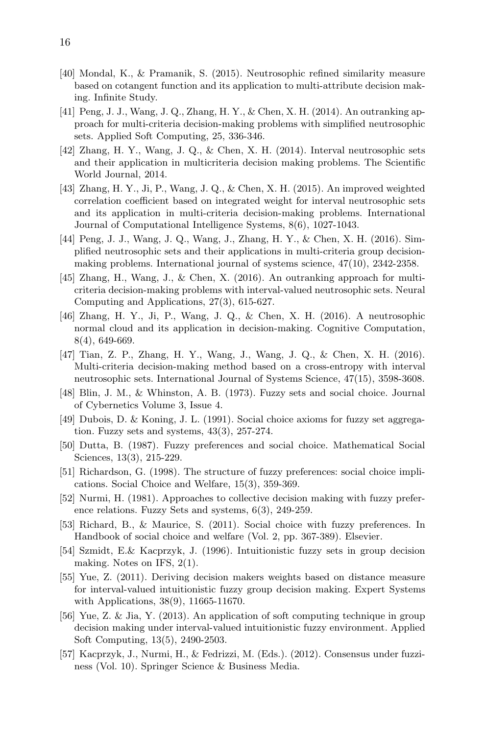- <span id="page-15-0"></span>[40] Mondal, K., & Pramanik, S. (2015). Neutrosophic refined similarity measure based on cotangent function and its application to multi-attribute decision making. Infinite Study.
- <span id="page-15-1"></span>[41] Peng, J. J., Wang, J. Q., Zhang, H. Y., & Chen, X. H. (2014). An outranking approach for multi-criteria decision-making problems with simplified neutrosophic sets. Applied Soft Computing, 25, 336-346.
- <span id="page-15-2"></span>[42] Zhang, H. Y., Wang, J. Q., & Chen, X. H. (2014). Interval neutrosophic sets and their application in multicriteria decision making problems. The Scientific World Journal, 2014.
- <span id="page-15-3"></span>[43] Zhang, H. Y., Ji, P., Wang, J. Q., & Chen, X. H. (2015). An improved weighted correlation coefficient based on integrated weight for interval neutrosophic sets and its application in multi-criteria decision-making problems. International Journal of Computational Intelligence Systems, 8(6), 1027-1043.
- <span id="page-15-4"></span>[44] Peng, J. J., Wang, J. Q., Wang, J., Zhang, H. Y., & Chen, X. H. (2016). Simplified neutrosophic sets and their applications in multi-criteria group decisionmaking problems. International journal of systems science, 47(10), 2342-2358.
- <span id="page-15-5"></span>[45] Zhang, H., Wang, J., & Chen, X. (2016). An outranking approach for multicriteria decision-making problems with interval-valued neutrosophic sets. Neural Computing and Applications, 27(3), 615-627.
- <span id="page-15-6"></span>[46] Zhang, H. Y., Ji, P., Wang, J. Q., & Chen, X. H. (2016). A neutrosophic normal cloud and its application in decision-making. Cognitive Computation, 8(4), 649-669.
- <span id="page-15-7"></span>[47] Tian, Z. P., Zhang, H. Y., Wang, J., Wang, J. Q., & Chen, X. H. (2016). Multi-criteria decision-making method based on a cross-entropy with interval neutrosophic sets. International Journal of Systems Science, 47(15), 3598-3608.
- <span id="page-15-8"></span>[48] Blin, J. M., & Whinston, A. B. (1973). Fuzzy sets and social choice. Journal of Cybernetics Volume 3, Issue 4.
- <span id="page-15-9"></span>[49] Dubois, D. & Koning, J. L. (1991). Social choice axioms for fuzzy set aggregation. Fuzzy sets and systems, 43(3), 257-274.
- <span id="page-15-10"></span>[50] Dutta, B. (1987). Fuzzy preferences and social choice. Mathematical Social Sciences, 13(3), 215-229.
- <span id="page-15-11"></span>[51] Richardson, G. (1998). The structure of fuzzy preferences: social choice implications. Social Choice and Welfare, 15(3), 359-369.
- <span id="page-15-12"></span>[52] Nurmi, H. (1981). Approaches to collective decision making with fuzzy preference relations. Fuzzy Sets and systems, 6(3), 249-259.
- <span id="page-15-13"></span>[53] Richard, B., & Maurice, S. (2011). Social choice with fuzzy preferences. In Handbook of social choice and welfare (Vol. 2, pp. 367-389). Elsevier.
- <span id="page-15-14"></span>[54] Szmidt, E.& Kacprzyk, J. (1996). Intuitionistic fuzzy sets in group decision making. Notes on IFS, 2(1).
- <span id="page-15-15"></span>[55] Yue, Z. (2011). Deriving decision makers weights based on distance measure for interval-valued intuitionistic fuzzy group decision making. Expert Systems with Applications, 38(9), 11665-11670.
- <span id="page-15-16"></span>[56] Yue, Z. & Jia, Y. (2013). An application of soft computing technique in group decision making under interval-valued intuitionistic fuzzy environment. Applied Soft Computing, 13(5), 2490-2503.
- <span id="page-15-17"></span>[57] Kacprzyk, J., Nurmi, H., & Fedrizzi, M. (Eds.). (2012). Consensus under fuzziness (Vol. 10). Springer Science & Business Media.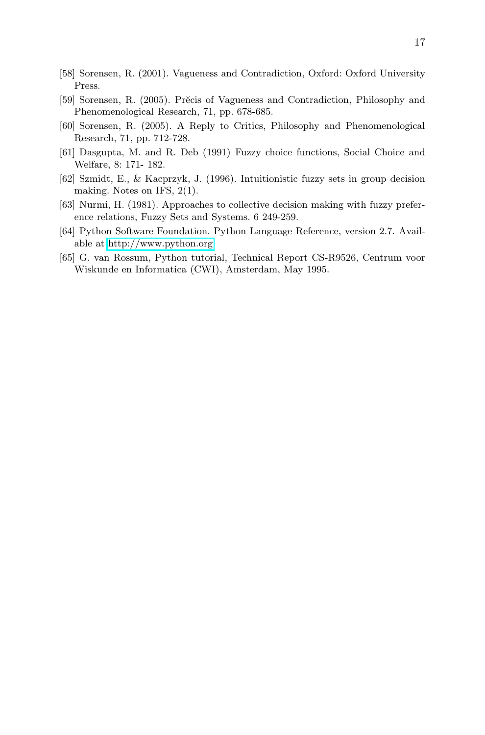- <span id="page-16-1"></span><span id="page-16-0"></span>[58] Sorensen, R. (2001). Vagueness and Contradiction, Oxford: Oxford University Press.
- [59] Sorensen, R. (2005). Precis of Vagueness and Contradiction, Philosophy and Phenomenological Research, 71, pp. 678-685.
- <span id="page-16-2"></span>[60] Sorensen, R. (2005). A Reply to Critics, Philosophy and Phenomenological Research, 71, pp. 712-728.
- <span id="page-16-3"></span>[61] Dasgupta, M. and R. Deb (1991) Fuzzy choice functions, Social Choice and Welfare, 8: 171- 182.
- <span id="page-16-4"></span>[62] Szmidt, E., & Kacprzyk, J. (1996). Intuitionistic fuzzy sets in group decision making. Notes on IFS, 2(1).
- <span id="page-16-5"></span>[63] Nurmi, H. (1981). Approaches to collective decision making with fuzzy preference relations, Fuzzy Sets and Systems. 6 249-259.
- <span id="page-16-6"></span>[64] Python Software Foundation. Python Language Reference, version 2.7. Available at<http://www.python.org>
- <span id="page-16-7"></span>[65] G. van Rossum, Python tutorial, Technical Report CS-R9526, Centrum voor Wiskunde en Informatica (CWI), Amsterdam, May 1995.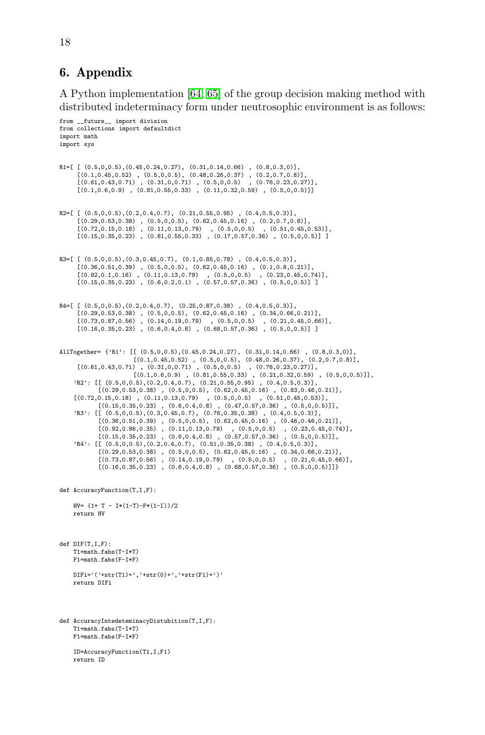## 6. Appendix

A Python implementation [\[64,](#page-16-6) [65\]](#page-16-7) of the group decision making method with distributed indeterminacy form under neutrosophic environment is as follows:

```
from __future__ import division
from collections import defaultdict
import math
import sys
R1 = [ (0.5,0,0.5), (0.45,0.24,0.27), (0.31,0.14,0.66) , (0.8,0.3,0) ],<br>
[(0.61,0.45,0.52) , (0.5,0,0.5), (0.48,0.26,0.37) , (0.2,0.7,0.8)]<br>
[(0.61,0.43,0.71) , (0.31,0,0.71) , (0.5,0,0.5) , (0.76,0.23,0.27)]<br>
[(0.1,0.6,0.9) , (0.81,0.55,0.33) ,R2=[ [ (0.5,0,0.5), (0.2,0.4,0.7), (0.21,0.55,0.95) , (0.4,0.5,0.3) ],[(0.29,0.53,0.38), (0.5,0,0.5), (0.62,0.45,0.16), (0.2,0.7,0.8)],<br>[(0.72,0.15,0.18), (0.11,0.13,0.79), (0.5,0,0.5), (0.51,0.45,0.53)],<br>[(0.15,0.35,0.23), (0.81,0.55,0.33), (0.17,0.57,0.36), (0.5,0,0.5)]]
R3 = [ [(0.5,0,0.5), (0.3,0.45,0.7), (0.1,0.85,0.78), (0.4,0.5,0.3)],[(0.36,0.51,0.39), (0.5,0,0.5), (0.62,0.45,0.16), (0.1,0.8,0.21)],<br>[(0.92,0.1,0.16), (0.11,0.13,0.79), (0.5,0,0.5), (0.23,0.45,0.74)],<br>[(0.15,0.35,0.23), (0.6,0.2,0.1), (0.57,0.57,0.36), (0.5,0,0.5)]]
R4 = [ [(0.5,0,0.5), (0.2,0.4,0.7), (0.25,0.87,0.38), (0.4,0.5,0.3)],[(0.29, 0.53, 0.38), (0.5, 0, 0.5), (0.62, 0.45, 0.16), (0.34, 0.66, 0.21)],
        [(0.73,0.87,0.56), (0.14,0.19,0.79), (0.5,0,0.5), (0.21,0.45,0.66)],<br>[(0.16,0.35,0.23), (0.6,0.4,0.8), (0.68,0.57,0.36), (0.5,0,0.5)]]
AllTogether= {'R1': [[ (0.5,0,0.5),(0.45,0.24,0.27), (0.31,0.14,0.66) , (0.8,0.3,0)],
                                  [(0.1, 0.45, 0.52) , (0.5, 0, 0.5), (0.48, 0.26, 0.37), (0.2, 0.7, 0.8)],
       [(0.61,0.43,0.71) , (0.31,0,0.71) , (0.5,0,0.5) , (0.76,0.23,0.27)],<br>[(0.1,0.6,0.9) , (0.81,0.55,0.3) , (0.21,0.55,0.3)],<br>'R2': [[ (0.5,0,0.5),(0.2,0.4,0.7), (0.21,0.55,0.95) , (0.4,0.5,0.3)],
                 [(0.29, 0.53, 0.38), (0.5, 0, 0.5), (0.62, 0.45, 0.16), (0.83, 0.46, 0.21)],
       [(0.72,0.15,0.18) , (0.11,0.13,0.79) , (0.5,0,0.5) , (0.51,0.45,0.53)],
[(0.15,0.35,0.23) , (0.6,0.4,0.8) , (0.47,0.57,0.36) , (0.5,0,0.5)]],
'R3': [[ (0.5,0,0.5),(0.3,0.45,0.7), (0.76,0.35,0.38) , (0.4,0.5,0.3)],
                  [(0.36, 0.51, 0.39), (0.5, 0, 0.5), (0.62, 0.45, 0.16), (0.46, 0.46, 0.21)][(0.92, 0.86, 0.35), (0.11, 0.13, 0.79), (0.5, 0, 0.5), (0.23, 0.45, 0.74)],<br>[(0.15, 0.35, 0.23), (0.6, 0.4, 0.8), (0.57, 0.57, 0.36), (0.5, 0, 0.5)]],
      'R4': [[ (0.5,0,0.5),(0.2,0.4,0.7), (0.51,0.35,0.38), (0.4,0.5,0.3)],
                  [(0.29,0.53,0.38) , (0.5,0,0.5), (0.62,0.45,0.16) , (0.34,0.66,0.21)],
[(0.73,0.87,0.56) , (0.14,0.19,0.79) , (0.5,0,0.5) , (0.21,0.45,0.66)],
                  [(0.16, 0.35, 0.23), (0.6, 0.4, 0.8), (0.68, 0.57, 0.36), (0.5, 0, 0.5)]]}
def AccuracyFunction(T,I,F):
      HV= (1+ T - T*(1-T)-F*(1-T))/2
      return HV
def DIF(T,I,F):
      T1=math.fabs(T-I*T)
      F1=math.fabs(F-I*F)
      \mathtt{DIFi}^{\mathtt{:='}}(\textrm{'+str(T1)+'} ,\textrm{'+str(0)+'} ,\textrm{'+str(F1)+'} )'return DIFi
def AccuracyIntedeteminacyDistubition(T,I,F):
      T1=math.fabs(T-I*T)
      F1=math.fabs(F-I*F)
      ID=AccuracyFunction(T1,I,F1)
      return ID
```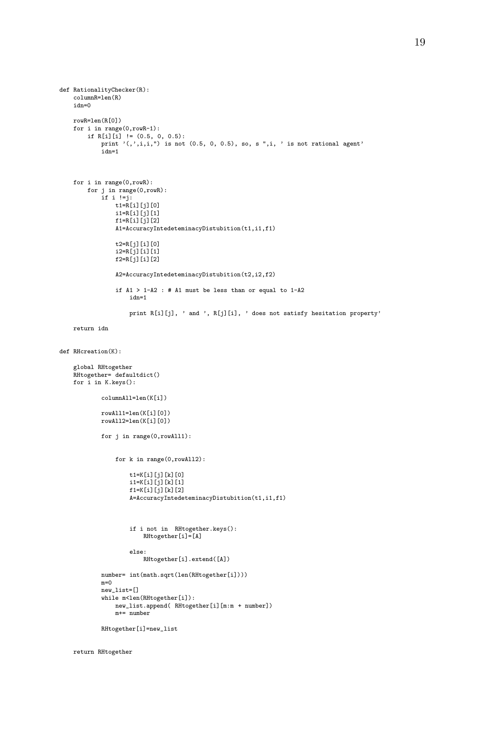```
def RationalityChecker(R):
    columnR=len(R)
    idn=0
    rowR=len(R[0])
    for i in range(0,rowR-1):
        if R[i][i] ! = (0.5, 0, 0.5):
            print '(,',i,i,") is not (0.5, 0, 0.5), so, s ",i, ' is not rational agent'
            idn=1
    for i in range(0,rowR):
        for j in range(0,rowR):
            if i !=j:
                t1 = R[i][j][0]i1=R[i][j][1]f1=R[i][j][2]A1=AccuracyIntedeteminacyDistubition(t1,i1,f1)
                t2=R[j][i][0]
                i2=R[j][i][1]
                f2=R[j][i][2]A2=AccuracyIntedeteminacyDistubition(t2,i2,f2)
                if A1 > 1-A2: # A1 must be less than or equal to 1-A2idn=1
                    print R[i][j], ' and ', R[j][i], ' does not satisfy hesitation property'
    return idn
def RHcreation(K):
    global RHtogether
    RHtogether= defaultdict()
    for i in K.keys():
            columnAll=len(K[i])
            rowAll1=len(K[i][0])
            rowAll2=len(K[i][0])
            for j in range(0,rowAll1):
                for k in range(0,rowAll2):
                    t1=K[i][j][k][0]
                    i1=K[i][j][k][1]
                    f1=K[i][j][k][2]
                    A=AccuracyIntedeteminacyDistubition(t1,i1,f1)
                    if i not in RHtogether.keys():
                        RHtogether[i]=[A]
                    else:
                        RHtogether[i].extend([A])
            number= int(math.sqrt(len(RHtogether[i])))
            m=0new_list=[]
            while m<len(RHtogether[i]):
               new_list.append( RHtogether[i][m:m + number])
                m+= number
            RHtogether[i]=new_list
```
return RHtogether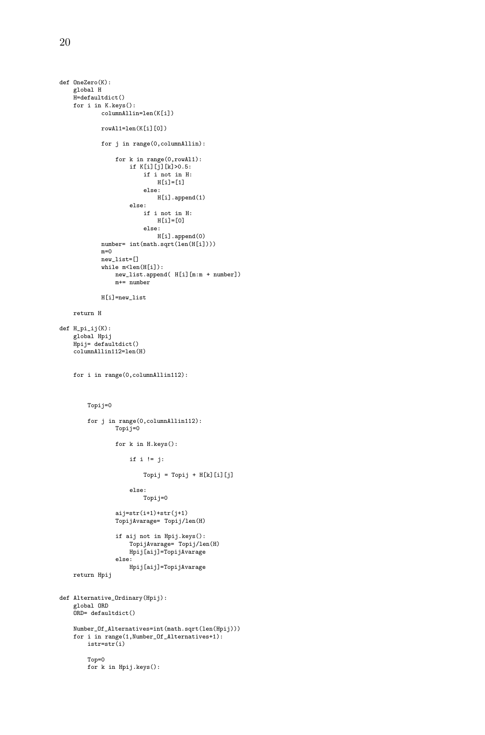```
def OneZero(K):
    global H
    H=defaultdict()
    for i in K.keys():
            columnAllin=len(K[i])
            rowAl1=len(K[i][0])
            for j in range(0,columnAllin):
                 for k in range(0,rowAl1):
                     if K[i][j][k]>0.5:
                         if i not in H:
                             H[i]=[1]else:
                             H[i].append(1)
                     else:
                         if i not in H:
                             H[i]=[0]
                         else:
                             H[i].append(0)
            number= int(math.sqrt(len(H[i])))
            m=0new_list=[]
            while m<len(H[i]):
                 new_list.append( H[i][m:m + number])
                 m+= number
            H[i]=new_list
    return H
def H_pi_ij(K):
    global Hpij
     Hpij= defaultdict()
columnAllin112=len(H)
    for i in range(0,columnAllin112):
        Topij=0
        for j in range(0,columnAllin112):
                 Topij=0
                 for k in H.keys():
                     if i != j:
                         Topij = Topij + H[k][i][j]else:
                         Topij=0
                 aij=str(i+1)+str(j+1)
                 TopijAvarage= Topij/len(H)
                 if aij not in Hpij.keys():
TopijAvarage= Topij/len(H)
                     Hpij[aij]=TopijAvarage
                 else:
                     Hpij[aij]=TopijAvarage
    return Hpij
def Alternative_Ordinary(Hpij):
     global ORD
ORD= defaultdict()
    Number_Of_Alternatives=int(math.sqrt(len(Hpij)))
    for i in range(1,Number_Of_Alternatives+1):
        istr=str(i)
        Top=0
        for k in Hpij.keys():
```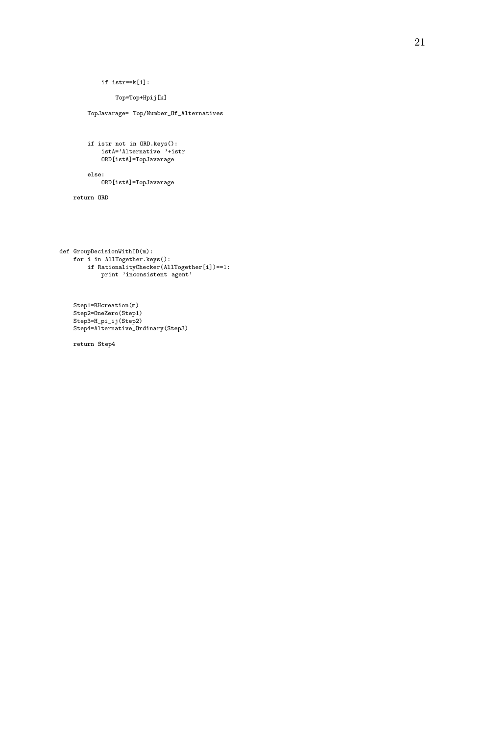```
if istr==k[1]:
```
Top=Top+Hpij[k]

```
TopJavarage= Top/Number_Of_Alternatives
```

```
if istr not in ORD.keys():
istA='Alternative '+istr
     ORD[istA]=TopJavarage
```
else:

ORD[istA]=TopJavarage

return ORD

```
def GroupDecisionWithID(m):
   for i in AllTogether.keys():
       if RationalityChecker(AllTogether[i])==1:
           print 'inconsistent agent'
```
Step1=RHcreation(m) Step2=OneZero(Step1) Step3=H\_pi\_ij(Step2) Step4=Alternative\_Ordinary(Step3)

return Step4